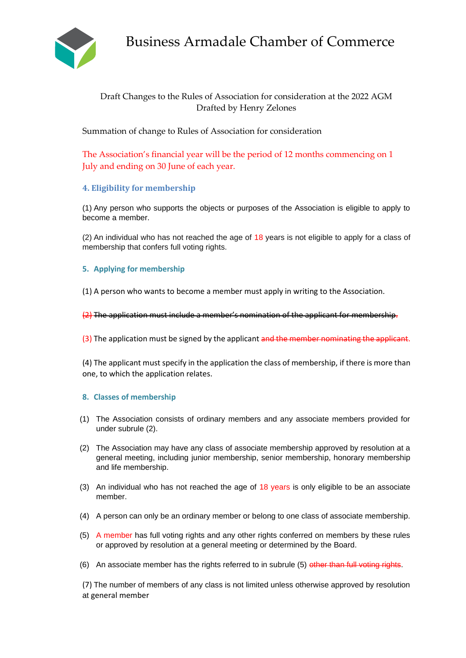

# Business Armadale Chamber of Commerce

## Draft Changes to the Rules of Association for consideration at the 2022 AGM Drafted by Henry Zelones

Summation of change to Rules of Association for consideration

The Association's financial year will be the period of 12 months commencing on 1 July and ending on 30 June of each year.

## **4. Eligibility for membership**

(1) Any person who supports the objects or purposes of the Association is eligible to apply to become a member.

(2) An individual who has not reached the age of 18 years is not eligible to apply for a class of membership that confers full voting rights.

### **5. Applying for membership**

(1) A person who wants to become a member must apply in writing to the Association.

(2) The application must include a member's nomination of the applicant for membership.

(3) The application must be signed by the applicant and the member nominating the applicant.

(4) The applicant must specify in the application the class of membership, if there is more than one, to which the application relates.

#### **8. Classes of membership**

- (1) The Association consists of ordinary members and any associate members provided for under subrule (2).
- (2) The Association may have any class of associate membership approved by resolution at a general meeting, including junior membership, senior membership, honorary membership and life membership.
- (3) An individual who has not reached the age of  $18$  years is only eligible to be an associate member.
- (4) A person can only be an ordinary member or belong to one class of associate membership.
- (5) A member has full voting rights and any other rights conferred on members by these rules or approved by resolution at a general meeting or determined by the Board.
- (6) An associate member has the rights referred to in subrule (5) other than full voting rights.

(7) The number of members of any class is not limited unless otherwise approved by resolution at general member